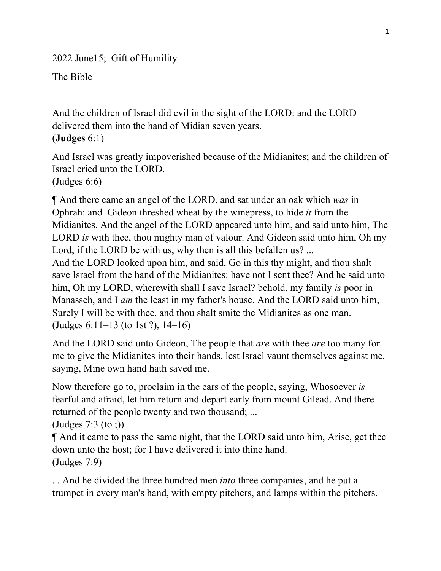2022 June15; Gift of Humility

The Bible

And the children of Israel did evil in the sight of the LORD: and the LORD delivered them into the hand of Midian seven years. (**Judges** 6:1)

And Israel was greatly impoverished because of the Midianites; and the children of Israel cried unto the LORD.

(Judges 6:6)

¶ And there came an angel of the LORD, and sat under an oak which *was* in Ophrah: and Gideon threshed wheat by the winepress, to hide *it* from the Midianites. And the angel of the LORD appeared unto him, and said unto him, The LORD *is* with thee, thou mighty man of valour. And Gideon said unto him, Oh my Lord, if the LORD be with us, why then is all this befallen us? ...

And the LORD looked upon him, and said, Go in this thy might, and thou shalt save Israel from the hand of the Midianites: have not I sent thee? And he said unto him, Oh my LORD, wherewith shall I save Israel? behold, my family *is* poor in Manasseh, and I *am* the least in my father's house. And the LORD said unto him, Surely I will be with thee, and thou shalt smite the Midianites as one man. (Judges 6:11–13 (to 1st ?), 14–16)

And the LORD said unto Gideon, The people that *are* with thee *are* too many for me to give the Midianites into their hands, lest Israel vaunt themselves against me, saying, Mine own hand hath saved me.

Now therefore go to, proclaim in the ears of the people, saying, Whosoever *is*  fearful and afraid, let him return and depart early from mount Gilead. And there returned of the people twenty and two thousand; ...

(Judges 7:3 (to ;))

¶ And it came to pass the same night, that the LORD said unto him, Arise, get thee down unto the host; for I have delivered it into thine hand. (Judges 7:9)

... And he divided the three hundred men *into* three companies, and he put a trumpet in every man's hand, with empty pitchers, and lamps within the pitchers.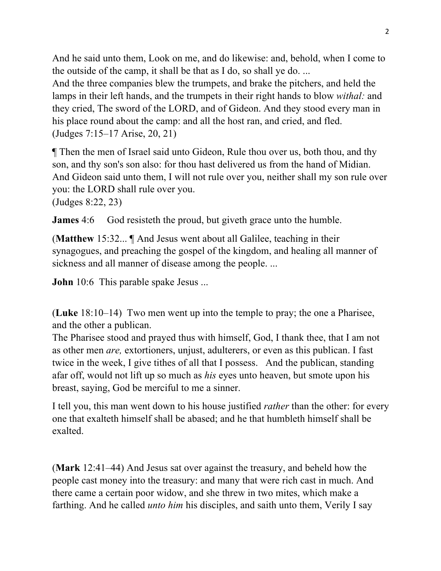And he said unto them, Look on me, and do likewise: and, behold, when I come to the outside of the camp, it shall be that as I do, so shall ye do. ...

And the three companies blew the trumpets, and brake the pitchers, and held the lamps in their left hands, and the trumpets in their right hands to blow *withal:* and they cried, The sword of the LORD, and of Gideon. And they stood every man in his place round about the camp: and all the host ran, and cried, and fled. (Judges 7:15–17 Arise, 20, 21)

¶ Then the men of Israel said unto Gideon, Rule thou over us, both thou, and thy son, and thy son's son also: for thou hast delivered us from the hand of Midian. And Gideon said unto them, I will not rule over you, neither shall my son rule over you: the LORD shall rule over you.

(Judges 8:22, 23)

**James** 4:6 God resisteth the proud, but giveth grace unto the humble.

(**Matthew** 15:32... ¶ And Jesus went about all Galilee, teaching in their synagogues, and preaching the gospel of the kingdom, and healing all manner of sickness and all manner of disease among the people. ...

**John** 10:6 This parable spake Jesus ...

(**Luke** 18:10–14) Two men went up into the temple to pray; the one a Pharisee, and the other a publican.

The Pharisee stood and prayed thus with himself, God, I thank thee, that I am not as other men *are,* extortioners, unjust, adulterers, or even as this publican. I fast twice in the week, I give tithes of all that I possess. And the publican, standing afar off, would not lift up so much as *his* eyes unto heaven, but smote upon his breast, saying, God be merciful to me a sinner.

I tell you, this man went down to his house justified *rather* than the other: for every one that exalteth himself shall be abased; and he that humbleth himself shall be exalted.

(**Mark** 12:41–44) And Jesus sat over against the treasury, and beheld how the people cast money into the treasury: and many that were rich cast in much. And there came a certain poor widow, and she threw in two mites, which make a farthing. And he called *unto him* his disciples, and saith unto them, Verily I say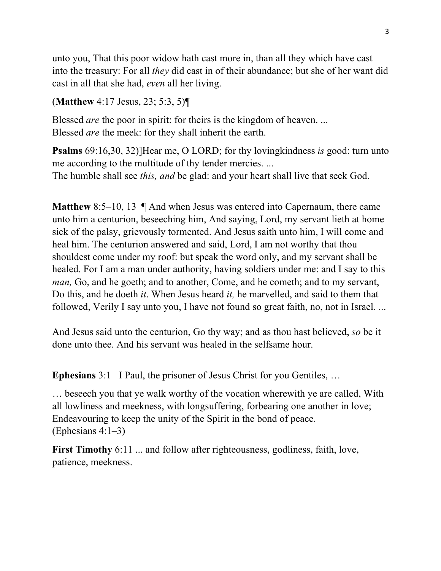unto you, That this poor widow hath cast more in, than all they which have cast into the treasury: For all *they* did cast in of their abundance; but she of her want did cast in all that she had, *even* all her living.

(**Matthew** 4:17 Jesus, 23; 5:3, 5)¶

Blessed *are* the poor in spirit: for theirs is the kingdom of heaven. ... Blessed *are* the meek: for they shall inherit the earth.

**Psalms** 69:16,30, 32)]Hear me, O LORD; for thy lovingkindness *is* good: turn unto me according to the multitude of thy tender mercies. ... The humble shall see *this, and* be glad: and your heart shall live that seek God.

**Matthew** 8:5–10, 13  $\parallel$  And when Jesus was entered into Capernaum, there came unto him a centurion, beseeching him, And saying, Lord, my servant lieth at home sick of the palsy, grievously tormented. And Jesus saith unto him, I will come and heal him. The centurion answered and said, Lord, I am not worthy that thou shouldest come under my roof: but speak the word only, and my servant shall be healed. For I am a man under authority, having soldiers under me: and I say to this *man*, Go, and he goeth; and to another, Come, and he cometh; and to my servant, Do this, and he doeth *it*. When Jesus heard *it,* he marvelled, and said to them that followed, Verily I say unto you, I have not found so great faith, no, not in Israel. ...

And Jesus said unto the centurion, Go thy way; and as thou hast believed, *so* be it done unto thee. And his servant was healed in the selfsame hour.

**Ephesians** 3:1 I Paul, the prisoner of Jesus Christ for you Gentiles, …

… beseech you that ye walk worthy of the vocation wherewith ye are called, With all lowliness and meekness, with longsuffering, forbearing one another in love; Endeavouring to keep the unity of the Spirit in the bond of peace. (Ephesians 4:1–3)

**First Timothy** 6:11 ... and follow after righteousness, godliness, faith, love, patience, meekness.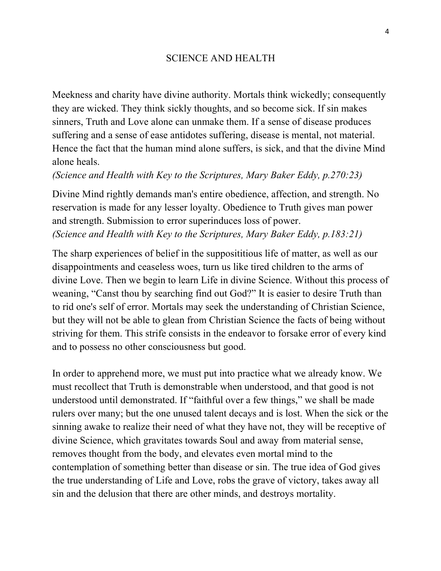## SCIENCE AND HEALTH

Meekness and charity have divine authority. Mortals think wickedly; consequently they are wicked. They think sickly thoughts, and so become sick. If sin makes sinners, Truth and Love alone can unmake them. If a sense of disease produces suffering and a sense of ease antidotes suffering, disease is mental, not material. Hence the fact that the human mind alone suffers, is sick, and that the divine Mind alone heals.

*(Science and Health with Key to the Scriptures, Mary Baker Eddy, p.270:23)*

Divine Mind rightly demands man's entire obedience, affection, and strength. No reservation is made for any lesser loyalty. Obedience to Truth gives man power and strength. Submission to error superinduces loss of power. *(Science and Health with Key to the Scriptures, Mary Baker Eddy, p.183:21)*

The sharp experiences of belief in the supposititious life of matter, as well as our disappointments and ceaseless woes, turn us like tired children to the arms of divine Love. Then we begin to learn Life in divine Science. Without this process of weaning, "Canst thou by searching find out God?" It is easier to desire Truth than to rid one's self of error. Mortals may seek the understanding of Christian Science, but they will not be able to glean from Christian Science the facts of being without striving for them. This strife consists in the endeavor to forsake error of every kind and to possess no other consciousness but good.

In order to apprehend more, we must put into practice what we already know. We must recollect that Truth is demonstrable when understood, and that good is not understood until demonstrated. If "faithful over a few things," we shall be made rulers over many; but the one unused talent decays and is lost. When the sick or the sinning awake to realize their need of what they have not, they will be receptive of divine Science, which gravitates towards Soul and away from material sense, removes thought from the body, and elevates even mortal mind to the contemplation of something better than disease or sin. The true idea of God gives the true understanding of Life and Love, robs the grave of victory, takes away all sin and the delusion that there are other minds, and destroys mortality.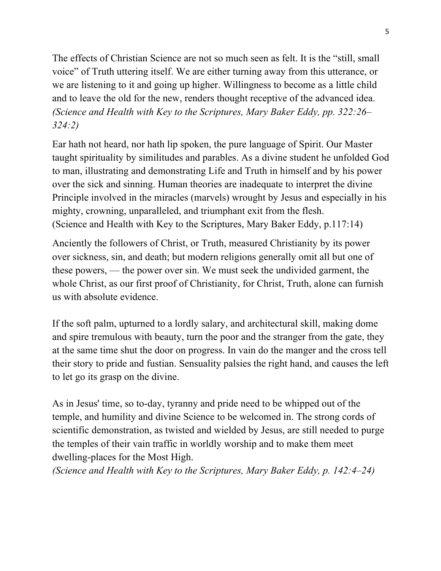The effects of Christian Science are not so much seen as felt. It is the "still, small voice" of Truth uttering itself. We are either turning away from this utterance, or we are listening to it and going up higher. Willingness to become as a little child and to leave the old for the new, renders thought receptive of the advanced idea. *(Science and Health with Key to the Scriptures, Mary Baker Eddy, pp. 322:26– 324:2)*

Ear hath not heard, nor hath lip spoken, the pure language of Spirit. Our Master taught spirituality by similitudes and parables. As a divine student he unfolded God to man, illustrating and demonstrating Life and Truth in himself and by his power over the sick and sinning. Human theories are inadequate to interpret the divine Principle involved in the miracles (marvels) wrought by Jesus and especially in his mighty, crowning, unparalleled, and triumphant exit from the flesh. (Science and Health with Key to the Scriptures, Mary Baker Eddy, p.117:14)

Anciently the followers of Christ, or Truth, measured Christianity by its power over sickness, sin, and death; but modern religions generally omit all but one of these powers, — the power over sin. We must seek the undivided garment, the whole Christ, as our first proof of Christianity, for Christ, Truth, alone can furnish us with absolute evidence.

If the soft palm, upturned to a lordly salary, and architectural skill, making dome and spire tremulous with beauty, turn the poor and the stranger from the gate, they at the same time shut the door on progress. In vain do the manger and the cross tell their story to pride and fustian. Sensuality palsies the right hand, and causes the left to let go its grasp on the divine.

As in Jesus' time, so to-day, tyranny and pride need to be whipped out of the temple, and humility and divine Science to be welcomed in. The strong cords of scientific demonstration, as twisted and wielded by Jesus, are still needed to purge the temples of their vain traffic in worldly worship and to make them meet dwelling-places for the Most High.

*(Science and Health with Key to the Scriptures, Mary Baker Eddy, p. 142:4–24)*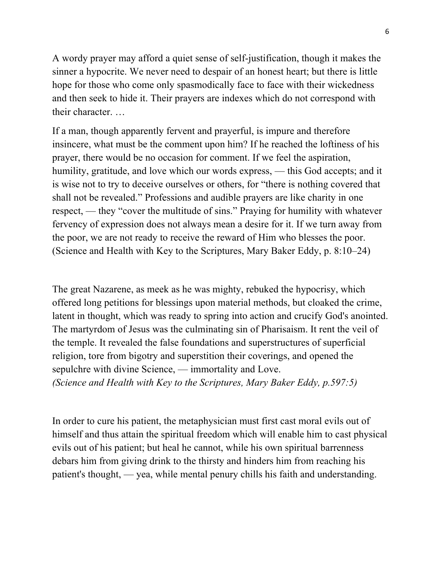A wordy prayer may afford a quiet sense of self-justification, though it makes the sinner a hypocrite. We never need to despair of an honest heart; but there is little hope for those who come only spasmodically face to face with their wickedness and then seek to hide it. Their prayers are indexes which do not correspond with their character. …

If a man, though apparently fervent and prayerful, is impure and therefore insincere, what must be the comment upon him? If he reached the loftiness of his prayer, there would be no occasion for comment. If we feel the aspiration, humility, gratitude, and love which our words express, — this God accepts; and it is wise not to try to deceive ourselves or others, for "there is nothing covered that shall not be revealed." Professions and audible prayers are like charity in one respect, — they "cover the multitude of sins." Praying for humility with whatever fervency of expression does not always mean a desire for it. If we turn away from the poor, we are not ready to receive the reward of Him who blesses the poor. (Science and Health with Key to the Scriptures, Mary Baker Eddy, p. 8:10–24)

The great Nazarene, as meek as he was mighty, rebuked the hypocrisy, which offered long petitions for blessings upon material methods, but cloaked the crime, latent in thought, which was ready to spring into action and crucify God's anointed. The martyrdom of Jesus was the culminating sin of Pharisaism. It rent the veil of the temple. It revealed the false foundations and superstructures of superficial religion, tore from bigotry and superstition their coverings, and opened the sepulchre with divine Science, — immortality and Love. *(Science and Health with Key to the Scriptures, Mary Baker Eddy, p.597:5)*

In order to cure his patient, the metaphysician must first cast moral evils out of himself and thus attain the spiritual freedom which will enable him to cast physical evils out of his patient; but heal he cannot, while his own spiritual barrenness debars him from giving drink to the thirsty and hinders him from reaching his patient's thought, — yea, while mental penury chills his faith and understanding.